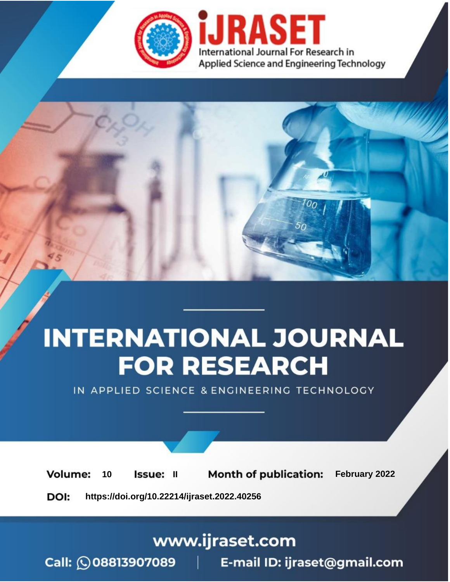

# **INTERNATIONAL JOURNAL FOR RESEARCH**

IN APPLIED SCIENCE & ENGINEERING TECHNOLOGY

**Month of publication:** February 2022 **Volume:** 10 **Issue: II** DOI: https://doi.org/10.22214/ijraset.2022.40256

www.ijraset.com

 $Call: \bigcirc$ 08813907089 E-mail ID: ijraset@gmail.com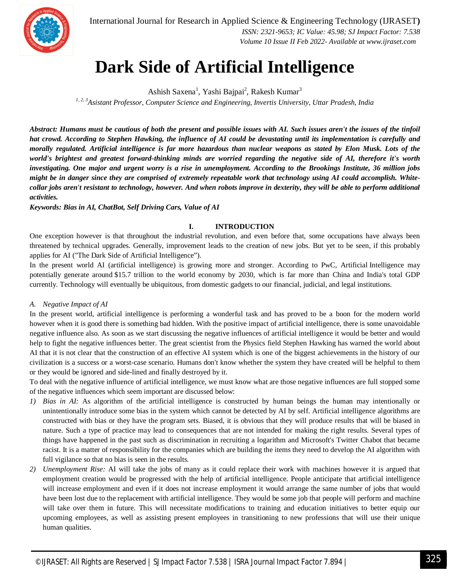

International Journal for Research in Applied Science & Engineering Technology (IJRASET**)**  *ISSN: 2321-9653; IC Value: 45.98; SJ Impact Factor: 7.538*

 *Volume 10 Issue II Feb 2022- Available at www.ijraset.com*

### **Dark Side of Artificial Intelligence**

Ashish Saxena<sup>1</sup>, Yashi Bajpai<sup>2</sup>, Rakesh Kumar<sup>3</sup>

*1, 2, 3Asistant Professor, Computer Science and Engineering, Invertis University, Uttar Pradesh, India*

*Abstract: Humans must be cautious of both the present and possible issues with AI. Such issues aren't the issues of the tinfoil hat crowd. According to Stephen Hawking, the influence of AI could be devastating until its implementation is carefully and morally regulated. Artificial intelligence is far more hazardous than nuclear weapons as stated by Elon Musk. Lots of the world's brightest and greatest forward-thinking minds are worried regarding the negative side of AI, therefore it's worth investigating. One major and urgent worry is a rise in unemployment. According to the Brookings Institute, 36 million jobs might be in danger since they are comprised of extremely repeatable work that technology using AI could accomplish. Whitecollar jobs aren't resistant to technology, however. And when robots improve in dexterity, they will be able to perform additional activities.*

*Keywords: Bias in AI, ChatBot, Self Driving Cars, Value of AI*

#### **I. INTRODUCTION**

One exception however is that throughout the industrial revolution, and even before that, some occupations have always been threatened by technical upgrades. Generally, improvement leads to the creation of new jobs. But yet to be seen, if this probably applies for AI ("The Dark Side of Artificial Intelligence").

In the present world AI (artificial intelligence) is growing more and stronger. According to PwC, Artificial Intelligence may potentially generate around \$15.7 trillion to the world economy by 2030, which is far more than China and India's total GDP currently. Technology will eventually be ubiquitous, from domestic gadgets to our financial, judicial, and legal institutions.

#### *A. Negative Impact of AI*

In the present world, artificial intelligence is performing a wonderful task and has proved to be a boon for the modern world however when it is good there is something bad hidden. With the positive impact of artificial intelligence, there is some unavoidable negative influence also. As soon as we start discussing the negative influences of artificial intelligence it would be better and would help to fight the negative influences better. The great scientist from the Physics field Stephen Hawking has warned the world about AI that it is not clear that the construction of an effective AI system which is one of the biggest achievements in the history of our civilization is a success or a worst-case scenario. Humans don't know whether the system they have created will be helpful to them or they would be ignored and side-lined and finally destroyed by it.

To deal with the negative influence of artificial intelligence, we must know what are those negative influences are full stopped some of the negative influences which seem important are discussed below:

- *1) Bias in AI:* As algorithm of the artificial intelligence is constructed by human beings the human may intentionally or unintentionally introduce some bias in the system which cannot be detected by AI by self. Artificial intelligence algorithms are constructed with bias or they have the program sets. Biased, it is obvious that they will produce results that will be biased in nature. Such a type of practice may lead to consequences that are not intended for making the right results. Several types of things have happened in the past such as discrimination in recruiting a logarithm and Microsoft's Twitter Chabot that became racist. It is a matter of responsibility for the companies which are building the items they need to develop the AI algorithm with full vigilance so that no bias is seen in the results.
- *2) Unemployment Rise:* AI will take the jobs of many as it could replace their work with machines however it is argued that employment creation would be progressed with the help of artificial intelligence. People anticipate that artificial intelligence will increase employment and even if it does not increase employment it would arrange the same number of jobs that would have been lost due to the replacement with artificial intelligence. They would be some job that people will perform and machine will take over them in future. This will necessitate modifications to training and education initiatives to better equip our upcoming employees, as well as assisting present employees in transitioning to new professions that will use their unique human qualities.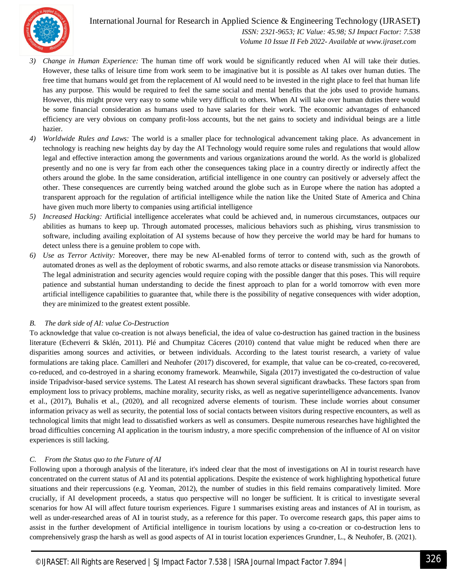

International Journal for Research in Applied Science & Engineering Technology (IJRASET**)**  *ISSN: 2321-9653; IC Value: 45.98; SJ Impact Factor: 7.538 Volume 10 Issue II Feb 2022- Available at www.ijraset.com*

- *3) Change in Human Experience:* The human time off work would be significantly reduced when AI will take their duties. However, these talks of leisure time from work seem to be imaginative but it is possible as AI takes over human duties. The free time that humans would get from the replacement of AI would need to be invested in the right place to feel that human life has any purpose. This would be required to feel the same social and mental benefits that the jobs used to provide humans. However, this might prove very easy to some while very difficult to others. When AI will take over human duties there would be some financial consideration as humans used to have salaries for their work. The economic advantages of enhanced efficiency are very obvious on company profit-loss accounts, but the net gains to society and individual beings are a little hazier.
- *4) Worldwide Rules and Laws:* The world is a smaller place for technological advancement taking place. As advancement in technology is reaching new heights day by day the AI Technology would require some rules and regulations that would allow legal and effective interaction among the governments and various organizations around the world. As the world is globalized presently and no one is very far from each other the consequences taking place in a country directly or indirectly affect the others around the globe. In the same consideration, artificial intelligence in one country can positively or adversely affect the other. These consequences are currently being watched around the globe such as in Europe where the nation has adopted a transparent approach for the regulation of artificial intelligence while the nation like the United State of America and China have given much more liberty to companies using artificial intelligence
- *5) Increased Hacking:* Artificial intelligence accelerates what could be achieved and, in numerous circumstances, outpaces our abilities as humans to keep up. Through automated processes, malicious behaviors such as phishing, virus transmission to software, including availing exploitation of AI systems because of how they perceive the world may be hard for humans to detect unless there is a genuine problem to cope with.
- *6) Use as Terror Activity:* Moreover, there may be new AI-enabled forms of terror to contend with, such as the growth of automated drones as well as the deployment of robotic swarms, and also remote attacks or disease transmission via Nanorobots. The legal administration and security agencies would require coping with the possible danger that this poses. This will require patience and substantial human understanding to decide the finest approach to plan for a world tomorrow with even more artificial intelligence capabilities to guarantee that, while there is the possibility of negative consequences with wider adoption, they are minimized to the greatest extent possible.

#### *B. The dark side of AI: value Co-Destruction*

To acknowledge that value co-creation is not always beneficial, the idea of value co-destruction has gained traction in the business literature (Echeverri & Sklén, 2011). Plé and Chumpitaz Cáceres (2010) contend that value might be reduced when there are disparities among sources and activities, or between individuals. According to the latest tourist research, a variety of value formulations are taking place. Camilleri and Neuhofer (2017) discovered, for example, that value can be co-created, co-recovered, co-reduced, and co-destroyed in a sharing economy framework. Meanwhile, Sigala (2017) investigated the co-destruction of value inside Tripadvisor-based service systems. The Latest AI research has shown several significant drawbacks. These factors span from employment loss to privacy problems, machine morality, security risks, as well as negative superintelligence advancements. Ivanov et al., (2017), Buhalis et al., (2020), and all recognized adverse elements of tourism. These include worries about consumer information privacy as well as security, the potential loss of social contacts between visitors during respective encounters, as well as technological limits that might lead to dissatisfied workers as well as consumers. Despite numerous researches have highlighted the broad difficulties concerning AI application in the tourism industry, a more specific comprehension of the influence of AI on visitor experiences is still lacking.

#### *C. From the Status quo to the Future of AI*

Following upon a thorough analysis of the literature, it's indeed clear that the most of investigations on AI in tourist research have concentrated on the current status of AI and its potential applications. Despite the existence of work highlighting hypothetical future situations and their repercussions (e.g. Yeoman, 2012), the number of studies in this field remains comparatively limited. More crucially, if AI development proceeds, a status quo perspective will no longer be sufficient. It is critical to investigate several scenarios for how AI will affect future tourism experiences. Figure 1 summarises existing areas and instances of AI in tourism, as well as under-researched areas of AI in tourist study, as a reference for this paper. To overcome research gaps, this paper aims to assist in the further development of Artificial intelligence in tourism locations by using a co-creation or co-destruction lens to comprehensively grasp the harsh as well as good aspects of AI in tourist location experiences Grundner, L., & Neuhofer, B. (2021).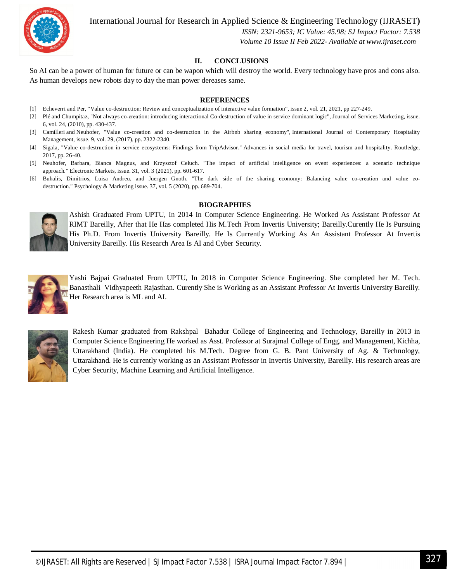

International Journal for Research in Applied Science & Engineering Technology (IJRASET**)**

 *ISSN: 2321-9653; IC Value: 45.98; SJ Impact Factor: 7.538 Volume 10 Issue II Feb 2022- Available at www.ijraset.com*

#### **II. CONCLUSIONS**

So AI can be a power of human for future or can be wapon which will destroy the world. Every technology have pros and cons also. As human develops new robots day to day the man power dereases same.

#### **REFERENCES**

- [1] Echeverri and Per, "Value co-destruction: Review and conceptualization of interactive value formation", issue 2, vol. 21, 2021, pp 227-249.
- [2] Plé and Chumpitaz, "Not always co-creation: introducing interactional Co-destruction of value in service dominant logic", Journal of Services Marketing, issue. 6, vol. 24, (2010), pp. 430-437.
- [3] Camilleri and Neuhofer, "Value co-creation and co-destruction in the Airbnb sharing economy", International Journal of Contemporary Hospitality Management, issue. 9, vol. 29, (2017), pp. 2322-2340.
- [4] Sigala, "Value co-destruction in service ecosystems: Findings from TripAdvisor." Advances in social media for travel, tourism and hospitality. Routledge, 2017, pp. 26-40.
- [5] Neuhofer, Barbara, Bianca Magnus, and Krzysztof Celuch. "The impact of artificial intelligence on event experiences: a scenario technique approach." Electronic Markets, issue. 31, vol. 3 (2021), pp. 601-617.
- [6] Buhalis, Dimitrios, Luisa Andreu, and Juergen Gnoth. "The dark side of the sharing economy: Balancing value co-creation and value codestruction." Psychology & Marketing issue. 37, vol. 5 (2020), pp. 689-704.

#### **BIOGRAPHIES**



Ashish Graduated From UPTU, In 2014 In Computer Science Engineering. He Worked As Assistant Professor At RIMT Bareilly, After that He Has completed His M.Tech From Invertis University; Bareilly.Curently He Is Pursuing His Ph.D. From Invertis University Bareilly. He Is Currently Working As An Assistant Professor At Invertis University Bareilly. His Research Area Is AI and Cyber Security.



Yashi Bajpai Graduated From UPTU, In 2018 in Computer Science Engineering. She completed her M. Tech. Banasthali Vidhyapeeth Rajasthan. Curently She is Working as an Assistant Professor At Invertis University Bareilly. Her Research area is ML and AI.



Rakesh Kumar graduated from Rakshpal Bahadur College of Engineering and Technology, Bareilly in 2013 in Computer Science Engineering He worked as Asst. Professor at Surajmal College of Engg. and Management, Kichha, Uttarakhand (India). He completed his M.Tech. Degree from G. B. Pant University of Ag. & Technology, Uttarakhand. He is currently working as an Assistant Professor in Invertis University, Bareilly. His research areas are Cyber Security, Machine Learning and Artificial Intelligence.